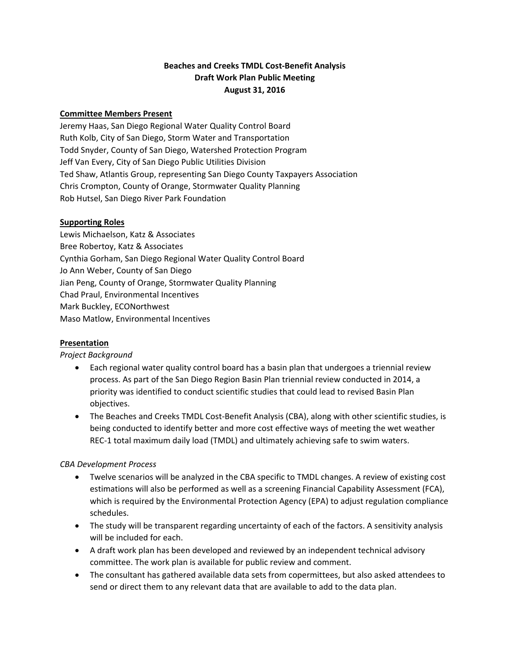# **Beaches and Creeks TMDL Cost‐Benefit Analysis Draft Work Plan Public Meeting August 31, 2016**

### **Committee Members Present**

Jeremy Haas, San Diego Regional Water Quality Control Board Ruth Kolb, City of San Diego, Storm Water and Transportation Todd Snyder, County of San Diego, Watershed Protection Program Jeff Van Every, City of San Diego Public Utilities Division Ted Shaw, Atlantis Group, representing San Diego County Taxpayers Association Chris Crompton, County of Orange, Stormwater Quality Planning Rob Hutsel, San Diego River Park Foundation

### **Supporting Roles**

Lewis Michaelson, Katz & Associates Bree Robertoy, Katz & Associates Cynthia Gorham, San Diego Regional Water Quality Control Board Jo Ann Weber, County of San Diego Jian Peng, County of Orange, Stormwater Quality Planning Chad Praul, Environmental Incentives Mark Buckley, ECONorthwest Maso Matlow, Environmental Incentives

# **Presentation**

# *Project Background*

- Each regional water quality control board has a basin plan that undergoes a triennial review process. As part of the San Diego Region Basin Plan triennial review conducted in 2014, a priority was identified to conduct scientific studies that could lead to revised Basin Plan objectives.
- The Beaches and Creeks TMDL Cost-Benefit Analysis (CBA), along with other scientific studies, is being conducted to identify better and more cost effective ways of meeting the wet weather REC‐1 total maximum daily load (TMDL) and ultimately achieving safe to swim waters.

# *CBA Development Process*

- Twelve scenarios will be analyzed in the CBA specific to TMDL changes. A review of existing cost estimations will also be performed as well as a screening Financial Capability Assessment (FCA), which is required by the Environmental Protection Agency (EPA) to adjust regulation compliance schedules.
- The study will be transparent regarding uncertainty of each of the factors. A sensitivity analysis will be included for each.
- A draft work plan has been developed and reviewed by an independent technical advisory committee. The work plan is available for public review and comment.
- The consultant has gathered available data sets from copermittees, but also asked attendees to send or direct them to any relevant data that are available to add to the data plan.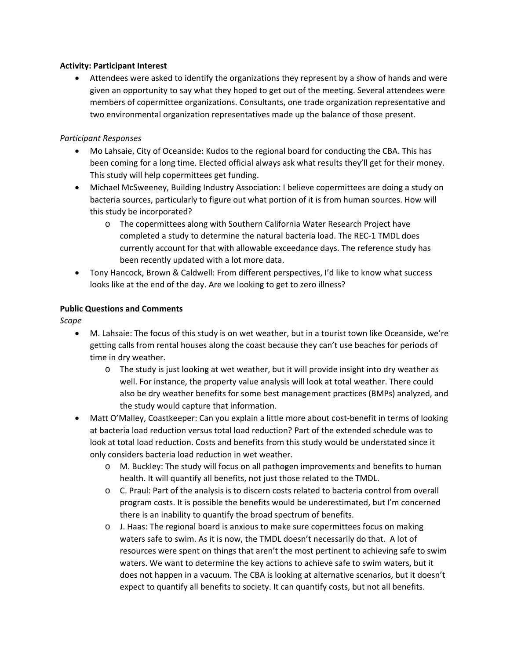### **Activity: Participant Interest**

 Attendees were asked to identify the organizations they represent by a show of hands and were given an opportunity to say what they hoped to get out of the meeting. Several attendees were members of copermittee organizations. Consultants, one trade organization representative and two environmental organization representatives made up the balance of those present.

### *Participant Responses*

- Mo Lahsaie, City of Oceanside: Kudos to the regional board for conducting the CBA. This has been coming for a long time. Elected official always ask what results they'll get for their money. This study will help copermittees get funding.
- Michael McSweeney, Building Industry Association: I believe copermittees are doing a study on bacteria sources, particularly to figure out what portion of it is from human sources. How will this study be incorporated?
	- o The copermittees along with Southern California Water Research Project have completed a study to determine the natural bacteria load. The REC‐1 TMDL does currently account for that with allowable exceedance days. The reference study has been recently updated with a lot more data.
- Tony Hancock, Brown & Caldwell: From different perspectives, I'd like to know what success looks like at the end of the day. Are we looking to get to zero illness?

### **Public Questions and Comments**

*Scope*

- M. Lahsaie: The focus of this study is on wet weather, but in a tourist town like Oceanside, we're getting calls from rental houses along the coast because they can't use beaches for periods of time in dry weather.
	- o The study is just looking at wet weather, but it will provide insight into dry weather as well. For instance, the property value analysis will look at total weather. There could also be dry weather benefits for some best management practices (BMPs) analyzed, and the study would capture that information.
- Matt O'Malley, Coastkeeper: Can you explain a little more about cost-benefit in terms of looking at bacteria load reduction versus total load reduction? Part of the extended schedule was to look at total load reduction. Costs and benefits from this study would be understated since it only considers bacteria load reduction in wet weather.
	- o M. Buckley: The study will focus on all pathogen improvements and benefits to human health. It will quantify all benefits, not just those related to the TMDL.
	- o C. Praul: Part of the analysis is to discern costs related to bacteria control from overall program costs. It is possible the benefits would be underestimated, but I'm concerned there is an inability to quantify the broad spectrum of benefits.
	- o J. Haas: The regional board is anxious to make sure copermittees focus on making waters safe to swim. As it is now, the TMDL doesn't necessarily do that. A lot of resources were spent on things that aren't the most pertinent to achieving safe to swim waters. We want to determine the key actions to achieve safe to swim waters, but it does not happen in a vacuum. The CBA is looking at alternative scenarios, but it doesn't expect to quantify all benefits to society. It can quantify costs, but not all benefits.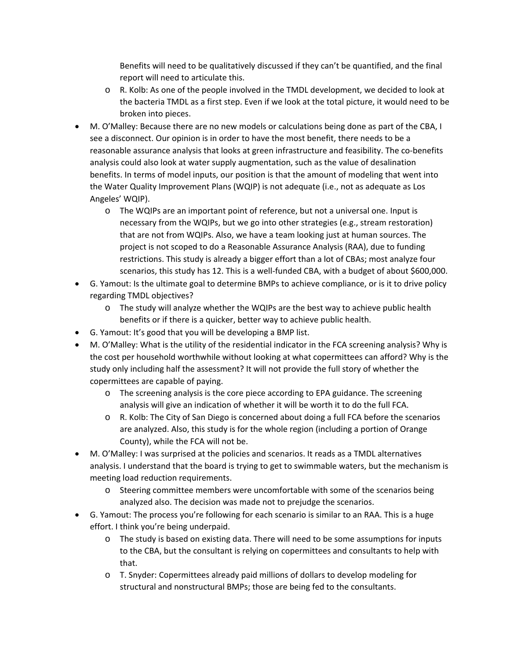Benefits will need to be qualitatively discussed if they can't be quantified, and the final report will need to articulate this.

- o R. Kolb: As one of the people involved in the TMDL development, we decided to look at the bacteria TMDL as a first step. Even if we look at the total picture, it would need to be broken into pieces.
- M. O'Malley: Because there are no new models or calculations being done as part of the CBA, I see a disconnect. Our opinion is in order to have the most benefit, there needs to be a reasonable assurance analysis that looks at green infrastructure and feasibility. The co-benefits analysis could also look at water supply augmentation, such as the value of desalination benefits. In terms of model inputs, our position is that the amount of modeling that went into the Water Quality Improvement Plans (WQIP) is not adequate (i.e., not as adequate as Los Angeles' WQIP).
	- o The WQIPs are an important point of reference, but not a universal one. Input is necessary from the WQIPs, but we go into other strategies (e.g., stream restoration) that are not from WQIPs. Also, we have a team looking just at human sources. The project is not scoped to do a Reasonable Assurance Analysis (RAA), due to funding restrictions. This study is already a bigger effort than a lot of CBAs; most analyze four scenarios, this study has 12. This is a well‐funded CBA, with a budget of about \$600,000.
- G. Yamout: Is the ultimate goal to determine BMPs to achieve compliance, or is it to drive policy regarding TMDL objectives?
	- o The study will analyze whether the WQIPs are the best way to achieve public health benefits or if there is a quicker, better way to achieve public health.
- G. Yamout: It's good that you will be developing a BMP list.
- M. O'Malley: What is the utility of the residential indicator in the FCA screening analysis? Why is the cost per household worthwhile without looking at what copermittees can afford? Why is the study only including half the assessment? It will not provide the full story of whether the copermittees are capable of paying.
	- o The screening analysis is the core piece according to EPA guidance. The screening analysis will give an indication of whether it will be worth it to do the full FCA.
	- o R. Kolb: The City of San Diego is concerned about doing a full FCA before the scenarios are analyzed. Also, this study is for the whole region (including a portion of Orange County), while the FCA will not be.
- M. O'Malley: I was surprised at the policies and scenarios. It reads as a TMDL alternatives analysis. I understand that the board is trying to get to swimmable waters, but the mechanism is meeting load reduction requirements.
	- o Steering committee members were uncomfortable with some of the scenarios being analyzed also. The decision was made not to prejudge the scenarios.
- G. Yamout: The process you're following for each scenario is similar to an RAA. This is a huge effort. I think you're being underpaid.
	- o The study is based on existing data. There will need to be some assumptions for inputs to the CBA, but the consultant is relying on copermittees and consultants to help with that.
	- o T. Snyder: Copermittees already paid millions of dollars to develop modeling for structural and nonstructural BMPs; those are being fed to the consultants.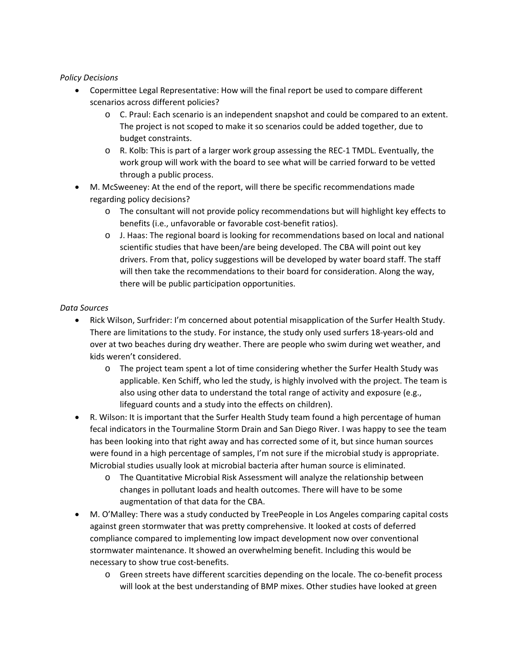### *Policy Decisions*

- Copermittee Legal Representative: How will the final report be used to compare different scenarios across different policies?
	- o C. Praul: Each scenario is an independent snapshot and could be compared to an extent. The project is not scoped to make it so scenarios could be added together, due to budget constraints.
	- o R. Kolb: This is part of a larger work group assessing the REC‐1 TMDL. Eventually, the work group will work with the board to see what will be carried forward to be vetted through a public process.
- M. McSweeney: At the end of the report, will there be specific recommendations made regarding policy decisions?
	- o The consultant will not provide policy recommendations but will highlight key effects to benefits (i.e., unfavorable or favorable cost‐benefit ratios).
	- o J. Haas: The regional board is looking for recommendations based on local and national scientific studies that have been/are being developed. The CBA will point out key drivers. From that, policy suggestions will be developed by water board staff. The staff will then take the recommendations to their board for consideration. Along the way, there will be public participation opportunities.

### *Data Sources*

- Rick Wilson, Surfrider: I'm concerned about potential misapplication of the Surfer Health Study. There are limitations to the study. For instance, the study only used surfers 18‐years‐old and over at two beaches during dry weather. There are people who swim during wet weather, and kids weren't considered.
	- o The project team spent a lot of time considering whether the Surfer Health Study was applicable. Ken Schiff, who led the study, is highly involved with the project. The team is also using other data to understand the total range of activity and exposure (e.g., lifeguard counts and a study into the effects on children).
- R. Wilson: It is important that the Surfer Health Study team found a high percentage of human fecal indicators in the Tourmaline Storm Drain and San Diego River. I was happy to see the team has been looking into that right away and has corrected some of it, but since human sources were found in a high percentage of samples, I'm not sure if the microbial study is appropriate. Microbial studies usually look at microbial bacteria after human source is eliminated.
	- o The Quantitative Microbial Risk Assessment will analyze the relationship between changes in pollutant loads and health outcomes. There will have to be some augmentation of that data for the CBA.
- M. O'Malley: There was a study conducted by TreePeople in Los Angeles comparing capital costs against green stormwater that was pretty comprehensive. It looked at costs of deferred compliance compared to implementing low impact development now over conventional stormwater maintenance. It showed an overwhelming benefit. Including this would be necessary to show true cost‐benefits.
	- o Green streets have different scarcities depending on the locale. The co‐benefit process will look at the best understanding of BMP mixes. Other studies have looked at green